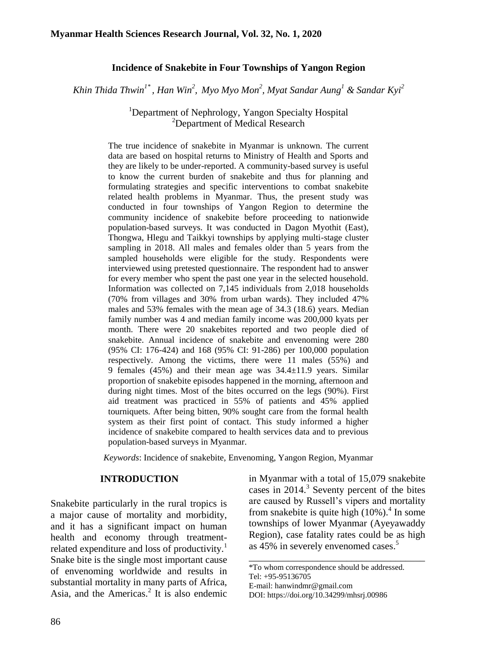#### **Incidence of Snakebite in Four Townships of Yangon Region**

*Khin Thida Thwin1\* , Han Win<sup>2</sup> , Myo Myo Mon<sup>2</sup> , Myat Sandar Aung<sup>1</sup> & Sandar Kyi<sup>2</sup>*

<sup>1</sup>Department of Nephrology, Yangon Specialty Hospital <sup>2</sup>Department of Medical Research

The true incidence of snakebite in Myanmar is unknown. The current data are based on hospital returns to Ministry of Health and Sports and they are likely to be under-reported. A community-based survey is useful to know the current burden of snakebite and thus for planning and formulating strategies and specific interventions to combat snakebite related health problems in Myanmar. Thus, the present study was conducted in four townships of Yangon Region to determine the community incidence of snakebite before proceeding to nationwide population-based surveys. It was conducted in Dagon Myothit (East), Thongwa, Hlegu and Taikkyi townships by applying multi-stage cluster sampling in 2018. All males and females older than 5 years from the sampled households were eligible for the study. Respondents were interviewed using pretested questionnaire. The respondent had to answer for every member who spent the past one year in the selected household. Information was collected on 7,145 individuals from 2,018 households (70% from villages and 30% from urban wards). They included 47% males and 53% females with the mean age of 34.3 (18.6) years. Median family number was 4 and median family income was 200,000 kyats per month. There were 20 snakebites reported and two people died of snakebite. Annual incidence of snakebite and envenoming were 280 (95% CI: 176-424) and 168 (95% CI: 91-286) per 100,000 population respectively. Among the victims, there were 11 males (55%) and 9 females (45%) and their mean age was 34.4±11.9 years. Similar proportion of snakebite episodes happened in the morning, afternoon and during night times. Most of the bites occurred on the legs (90%). First aid treatment was practiced in 55% of patients and 45% applied tourniquets. After being bitten, 90% sought care from the formal health system as their first point of contact. This study informed a higher incidence of snakebite compared to health services data and to previous population-based surveys in Myanmar.

*Keywords*: Incidence of snakebite, Envenoming, Yangon Region, Myanmar

#### **INTRODUCTION**

Snakebite particularly in the rural tropics is a major cause of mortality and morbidity, and it has a significant impact on human health and economy through treatmentrelated expenditure and loss of productivity.<sup>1</sup> Snake bite is the single most important cause of envenoming worldwide and results in substantial mortality in many parts of Africa, Asia, and the Americas. $2$  It is also endemic in Myanmar with a total of 15,079 snakebite cases in 2014.<sup>3</sup> Seventy percent of the bites are caused by Russell's vipers and mortality from snakebite is quite high  $(10\%)$ .<sup>4</sup> In some townships of lower Myanmar (Ayeyawaddy Region), case fatality rates could be as high as 45% in severely envenomed cases. 5

\_\_\_\_\_\_\_\_\_\_\_\_\_\_\_\_\_\_\_\_\_\_\_\_\_\_\_\_\_\_\_\_\_\_\_\_

\*To whom correspondence should be addressed. Tel: +95-95136705

E-mail: hanwindmr@gmail.com

DOI: https://doi.org/10.34299/mhsrj.00986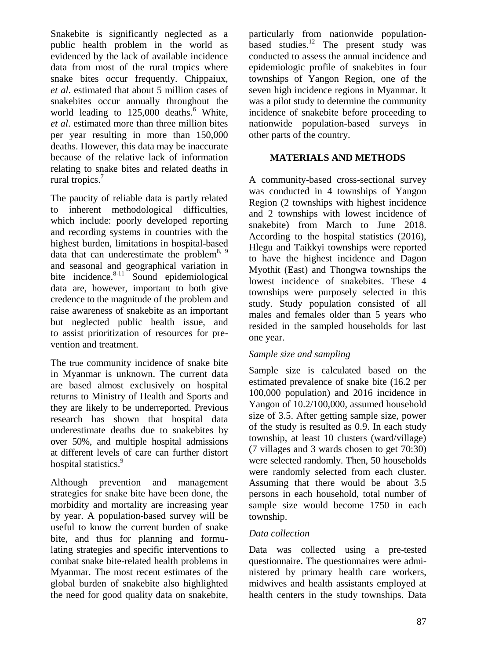Snakebite is significantly neglected as a public health problem in the world as evidenced by the lack of available incidence data from most of the rural tropics where snake bites occur frequently. Chippaiux, *et al*. estimated that about 5 million cases of snakebites occur annually throughout the world leading to  $125,000$  deaths.<sup>6</sup> White, *et al*. estimated more than three million bites per year resulting in more than 150,000 deaths. However, this data may be inaccurate because of the relative lack of information relating to snake bites and related deaths in rural tropics. 7

The paucity of reliable data is partly related to inherent methodological difficulties, which include: poorly developed reporting and recording systems in countries with the highest burden, limitations in hospital-based data that can underestimate the problem<sup>8, 9</sup> and seasonal and geographical variation in bite incidence. $8-11$  Sound epidemiological data are, however, important to both give credence to the magnitude of the problem and raise awareness of snakebite as an important but neglected public health issue, and to assist prioritization of resources for prevention and treatment.

The true community incidence of snake bite in Myanmar is unknown. The current data are based almost exclusively on hospital returns to Ministry of Health and Sports and they are likely to be underreported. Previous research has shown that hospital data underestimate deaths due to snakebites by over 50%, and multiple hospital admissions at different levels of care can further distort hospital statistics.<sup>9</sup>

Although prevention and management strategies for snake bite have been done, the morbidity and mortality are increasing year by year. A population-based survey will be useful to know the current burden of snake bite, and thus for planning and formulating strategies and specific interventions to combat snake bite-related health problems in Myanmar. The most recent estimates of the global burden of snakebite also highlighted the need for good quality data on snakebite,

particularly from nationwide populationbased studies. $\frac{12}{1}$  The present study was conducted to assess the annual incidence and epidemiologic profile of snakebites in four townships of Yangon Region, one of the seven high incidence regions in Myanmar. It was a pilot study to determine the community incidence of snakebite before proceeding to nationwide population-based surveys in other parts of the country.

## **MATERIALS AND METHODS**

A community-based cross-sectional survey was conducted in 4 townships of Yangon Region (2 townships with highest incidence and 2 townships with lowest incidence of snakebite) from March to June 2018. According to the hospital statistics (2016), Hlegu and Taikkyi townships were reported to have the highest incidence and Dagon Myothit (East) and Thongwa townships the lowest incidence of snakebites. These 4 townships were purposely selected in this study. Study population consisted of all males and females older than 5 years who resided in the sampled households for last one year.

#### *Sample size and sampling*

Sample size is calculated based on the estimated prevalence of snake bite (16.2 per 100,000 population) and 2016 incidence in Yangon of 10.2/100,000, assumed household size of 3.5. After getting sample size, power of the study is resulted as 0.9. In each study township, at least 10 clusters (ward/village) (7 villages and 3 wards chosen to get 70:30) were selected randomly. Then, 50 households were randomly selected from each cluster. Assuming that there would be about 3.5 persons in each household, total number of sample size would become 1750 in each township.

#### *Data collection*

Data was collected using a pre-tested questionnaire. The questionnaires were administered by primary health care workers, midwives and health assistants employed at health centers in the study townships. Data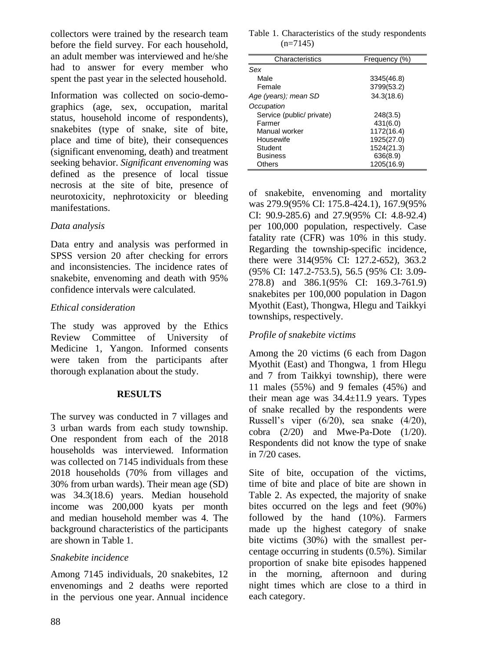collectors were trained by the research team before the field survey. For each household, an adult member was interviewed and he/she had to answer for every member who spent the past year in the selected household.

Information was collected on socio-demographics (age, sex, occupation, marital status, household income of respondents), snakebites (type of snake, site of bite, place and time of bite), their consequences (significant envenoming, death) and treatment seeking behavior. *Significant envenoming* was defined as the presence of local tissue necrosis at the site of bite, presence of neurotoxicity, nephrotoxicity or bleeding manifestations.

## *Data analysis*

Data entry and analysis was performed in SPSS version 20 after checking for errors and inconsistencies. The incidence rates of snakebite, envenoming and death with 95% confidence intervals were calculated.

# *Ethical consideration*

The study was approved by the Ethics Review Committee of University of Medicine 1, Yangon. Informed consents were taken from the participants after thorough explanation about the study.

#### **RESULTS**

The survey was conducted in 7 villages and 3 urban wards from each study township. One respondent from each of the 2018 households was interviewed. Information was collected on 7145 individuals from these 2018 households (70% from villages and 30% from urban wards). Their mean age (SD) was 34.3(18.6) years. Median household income was 200,000 kyats per month and median household member was 4. The background characteristics of the participants are shown in Table 1.

# *Snakebite incidence*

Among 7145 individuals, 20 snakebites, 12 envenomings and 2 deaths were reported in the pervious one year. Annual incidence

| Table 1. Characteristics of the study respondents |  |  |
|---------------------------------------------------|--|--|
| $(n=7145)$                                        |  |  |

| Characteristics           | Frequency (%) |  |  |
|---------------------------|---------------|--|--|
| Sex                       |               |  |  |
| Male                      | 3345(46.8)    |  |  |
| Female                    | 3799(53.2)    |  |  |
| Age (years); mean SD      | 34.3(18.6)    |  |  |
| Occupation                |               |  |  |
| Service (public/ private) | 248(3.5)      |  |  |
| Farmer                    | 431(6.0)      |  |  |
| Manual worker             | 1172(16.4)    |  |  |
| Housewife                 | 1925(27.0)    |  |  |
| Student                   | 1524(21.3)    |  |  |
| <b>Business</b>           | 636(8.9)      |  |  |
| Others                    | 1205(16.9)    |  |  |

of snakebite, envenoming and mortality was 279.9(95% CI: 175.8-424.1), 167.9(95% CI: 90.9-285.6) and 27.9(95% CI: 4.8-92.4) per 100,000 population, respectively. Case fatality rate (CFR) was 10% in this study. Regarding the township-specific incidence, there were 314(95% CI: 127.2-652), 363.2 (95% CI: 147.2-753.5), 56.5 (95% CI: 3.09- 278.8) and 386.1(95% CI: 169.3-761.9) snakebites per 100,000 population in Dagon Myothit (East), Thongwa, Hlegu and Taikkyi townships, respectively.

# *Profile of snakebite victims*

Among the 20 victims (6 each from Dagon Myothit (East) and Thongwa, 1 from Hlegu and 7 from Taikkyi township), there were 11 males (55%) and 9 females (45%) and their mean age was 34.4±11.9 years. Types of snake recalled by the respondents were Russell's viper (6/20), sea snake (4/20), cobra  $(2/20)$  and Mwe-Pa-Dote  $(1/20)$ . Respondents did not know the type of snake in 7/20 cases.

Site of bite, occupation of the victims, time of bite and place of bite are shown in Table 2. As expected, the majority of snake bites occurred on the legs and feet (90%) followed by the hand (10%). Farmers made up the highest category of snake bite victims (30%) with the smallest percentage occurring in students (0.5%). Similar proportion of snake bite episodes happened in the morning, afternoon and during night times which are close to a third in each category.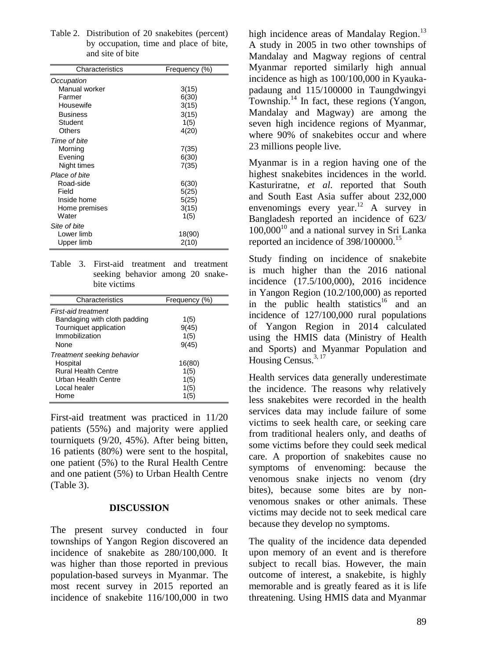| Characteristics | Frequency (%) |
|-----------------|---------------|
| Occupation      |               |
| Manual worker   | 3(15)         |
| Farmer          | 6(30)         |
| Housewife       | 3(15)         |
| Business        | 3(15)         |
| Student         | 1(5)          |
| Others          | 4(20)         |
| Time of bite    |               |
| Morning         | 7(35)         |
| Evening         | 6(30)         |
| Night times     | 7(35)         |
| Place of bite   |               |
| Road-side       | 6(30)         |
| Field           | 5(25)         |
| Inside home     | 5(25)         |
| Home premises   | 3(15)         |
| Water           | 1(5)          |
| Site of bite    |               |
| Lower limb      | 18(90)        |
| Upper limb      | 2(10)         |

| Table 2. Distribution of 20 snakebites (percent) |
|--------------------------------------------------|
| by occupation, time and place of bite,           |
| and site of bite                                 |

|  |              |                                  | Table 3. First-aid treatment and treatment |  |  |  |
|--|--------------|----------------------------------|--------------------------------------------|--|--|--|
|  |              | seeking behavior among 20 snake- |                                            |  |  |  |
|  | bite victims |                                  |                                            |  |  |  |

| Characteristics              | Frequency (%) |
|------------------------------|---------------|
| <b>First-aid treatment</b>   |               |
| Bandaging with cloth padding | 1(5)          |
| Tourniquet application       | 9(45)         |
| Immobilization               | 1(5)          |
| None                         | 9(45)         |
| Treatment seeking behavior   |               |
| Hospital                     | 16(80)        |
| <b>Rural Health Centre</b>   | 1(5)          |
| Urban Health Centre          | 1(5)          |
| Local healer                 | 1(5)          |
| Home                         | 1(5)          |

First-aid treatment was practiced in 11/20 patients (55%) and majority were applied tourniquets (9/20, 45%). After being bitten, 16 patients (80%) were sent to the hospital, one patient (5%) to the Rural Health Centre and one patient (5%) to Urban Health Centre (Table 3).

#### **DISCUSSION**

The present survey conducted in four townships of Yangon Region discovered an incidence of snakebite as 280/100,000. It was higher than those reported in previous population-based surveys in Myanmar. The most recent survey in 2015 reported an incidence of snakebite 116/100,000 in two

high incidence areas of Mandalay Region.<sup>13</sup> A study in 2005 in two other townships of Mandalay and Magway regions of central Myanmar reported similarly high annual incidence as high as 100/100,000 in Kyaukapadaung and 115/100000 in Taungdwingyi Township.<sup>14</sup> In fact, these regions (Yangon, Mandalay and Magway) are among the seven high incidence regions of Myanmar, where 90% of snakebites occur and where 23 millions people live.

Myanmar is in a region having one of the highest snakebites incidences in the world. Kasturiratne, *et al*. reported that South and South East Asia suffer about 232,000 envenomings every year.<sup>12</sup> A survey in Bangladesh reported an incidence of 623/  $100,000^{10}$  and a national survey in Sri Lanka reported an incidence of  $398/100000$ <sup>15</sup>

Study finding on incidence of snakebite is much higher than the 2016 national incidence (17.5/100,000), 2016 incidence in Yangon Region (10.2/100,000) as reported in the public health statistics<sup>16</sup> and an incidence of 127/100,000 rural populations of Yangon Region in 2014 calculated using the HMIS data (Ministry of Health and Sports) and Myanmar Population and Housing Census. 3, 17

Health services data generally underestimate the incidence. The reasons why relatively less snakebites were recorded in the health services data may include failure of some victims to seek health care, or seeking care from traditional healers only, and deaths of some victims before they could seek medical care. A proportion of snakebites cause no symptoms of envenoming: because the venomous snake injects no venom (dry bites), because some bites are by nonvenomous snakes or other animals. These victims may decide not to seek medical care because they develop no symptoms.

The quality of the incidence data depended upon memory of an event and is therefore subject to recall bias. However, the main outcome of interest, a snakebite, is highly memorable and is greatly feared as it is life threatening. Using HMIS data and Myanmar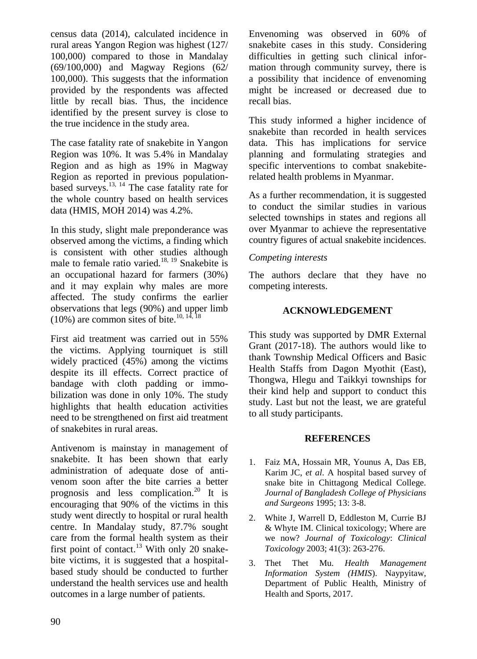census data (2014), calculated incidence in rural areas Yangon Region was highest (127/ 100,000) compared to those in Mandalay (69/100,000) and Magway Regions (62/ 100,000). This suggests that the information provided by the respondents was affected little by recall bias. Thus, the incidence identified by the present survey is close to the true incidence in the study area.

The case fatality rate of snakebite in Yangon Region was 10%. It was 5.4% in Mandalay Region and as high as 19% in Magway Region as reported in previous populationbased surveys.<sup>13, 14</sup> The case fatality rate for the whole country based on health services data (HMIS, MOH 2014) was 4.2%.

In this study, slight male preponderance was observed among the victims, a finding which is consistent with other studies although male to female ratio varied.<sup>18, 19</sup> Snakebite is an occupational hazard for farmers (30%) and it may explain why males are more affected. The study confirms the earlier observations that legs (90%) and upper limb  $(10\%)$  are common sites of bite.<sup>10, 14, 18</sup>

First aid treatment was carried out in 55% the victims. Applying tourniquet is still widely practiced (45%) among the victims despite its ill effects. Correct practice of bandage with cloth padding or immobilization was done in only 10%. The study highlights that health education activities need to be strengthened on first aid treatment of snakebites in rural areas.

Antivenom is mainstay in management of snakebite. It has been shown that early administration of adequate dose of antivenom soon after the bite carries a better prognosis and less complication.<sup>20</sup> It is encouraging that 90% of the victims in this study went directly to hospital or rural health centre. In Mandalay study, 87.7% sought care from the formal health system as their first point of contact.<sup>13</sup> With only 20 snakebite victims, it is suggested that a hospitalbased study should be conducted to further understand the health services use and health outcomes in a large number of patients.

Envenoming was observed in 60% of snakebite cases in this study. Considering difficulties in getting such clinical information through community survey, there is a possibility that incidence of envenoming might be increased or decreased due to recall bias.

This study informed a higher incidence of snakebite than recorded in health services data. This has implications for service planning and formulating strategies and specific interventions to combat snakebiterelated health problems in Myanmar.

As a further recommendation, it is suggested to conduct the similar studies in various selected townships in states and regions all over Myanmar to achieve the representative country figures of actual snakebite incidences.

## *Competing interests*

The authors declare that they have no competing interests.

# **ACKNOWLEDGEMENT**

This study was supported by DMR External Grant (2017-18). The authors would like to thank Township Medical Officers and Basic Health Staffs from Dagon Myothit (East), Thongwa, Hlegu and Taikkyi townships for their kind help and support to conduct this study. Last but not the least, we are grateful to all study participants.

#### **REFERENCES**

- 1. Faiz MA, Hossain MR, Younus A, Das EB, Karim JC, *et al*. A hospital based survey of snake bite in Chittagong Medical College. *Journal of Bangladesh College of Physicians and Surgeons* 1995; 13: 3-8.
- 2. White J, Warrell D, Eddleston M, Currie BJ & Whyte IM. Clinical toxicology; Where are we now? *Journal of Toxicology*: *Clinical Toxicology* 2003; 41(3): 263-276.
- 3. Thet Thet Mu. *Health Management Information System (HMIS*). Naypyitaw, Department of Public Health, Ministry of Health and Sports, 2017.